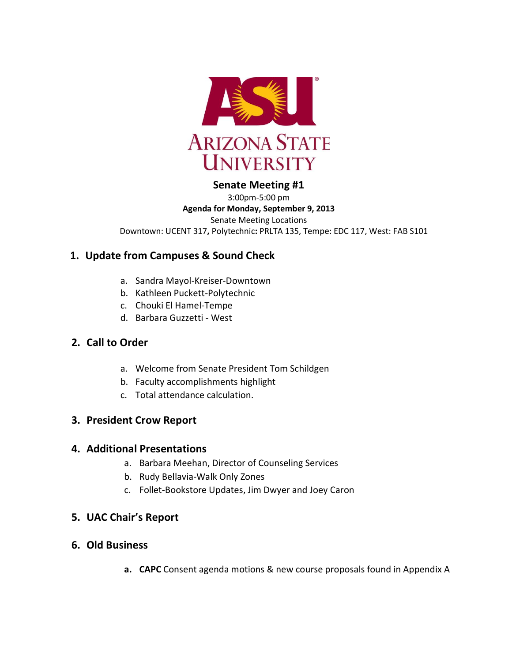

## **Senate Meeting #1**

3:00pm-5:00 pm **Agenda for Monday, September 9, 2013** Senate Meeting Locations Downtown: UCENT 317**,** Polytechnic**:** PRLTA 135, Tempe: EDC 117, West: FAB S101

# **1. Update from Campuses & Sound Check**

- a. Sandra Mayol-Kreiser-Downtown
- b. Kathleen Puckett-Polytechnic
- c. Chouki El Hamel-Tempe
- d. Barbara Guzzetti West

# **2. Call to Order**

- a. Welcome from Senate President Tom Schildgen
- b. Faculty accomplishments highlight
- c. Total attendance calculation.

# **3. President Crow Report**

### **4. Additional Presentations**

- a. Barbara Meehan, Director of Counseling Services
- b. Rudy Bellavia-Walk Only Zones
- c. Follet-Bookstore Updates, Jim Dwyer and Joey Caron

## **5. UAC Chair's Report**

- **6. Old Business**
	- **a. CAPC** Consent agenda motions & new course proposals found in Appendix A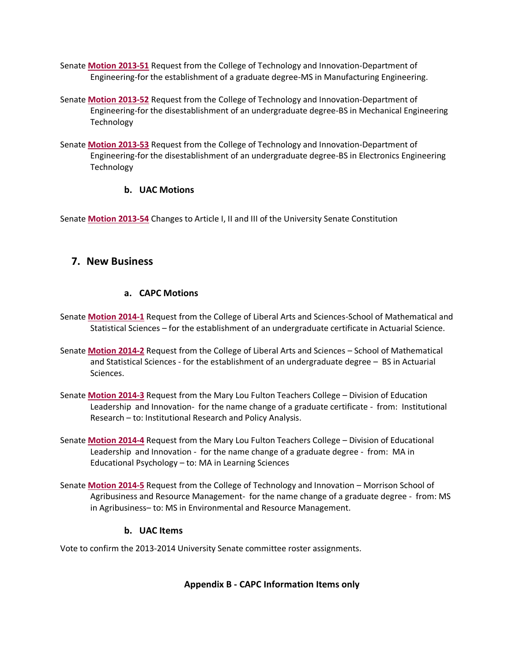- Senate **[Motion 2013-51](http://usenate.asu.edu/node/4529)** Request from the College of Technology and Innovation-Department of Engineering-for the establishment of a graduate degree-MS in Manufacturing Engineering.
- Senate **[Motion 2013-52](http://usenate.asu.edu/node/4528)** Request from the College of Technology and Innovation-Department of Engineering-for the disestablishment of an undergraduate degree-BS in Mechanical Engineering Technology

Senate **[Motion 2013-53](http://usenate.asu.edu/node/4527)** Request from the College of Technology and Innovation-Department of Engineering-for the disestablishment of an undergraduate degree-BS in Electronics Engineering Technology

#### **b. UAC Motions**

Senate **[Motion 2013-54](http://usenate.asu.edu/node/4532)** Changes to Article I, II and III of the University Senate Constitution

### **7. New Business**

#### **a. CAPC Motions**

- Senate **[Motion 2014-1](http://usenate.asu.edu/node/4734)** Request from the College of Liberal Arts and Sciences-School of Mathematical and Statistical Sciences – for the establishment of an undergraduate certificate in Actuarial Science.
- Senate **[Motion 2014-2](http://usenate.asu.edu/node/4735)** Request from the College of Liberal Arts and Sciences School of Mathematical and Statistical Sciences - for the establishment of an undergraduate degree – BS in Actuarial Sciences.
- Senate **[Motion 2014-3](http://usenate.asu.edu/node/4736)** Request from the Mary Lou Fulton Teachers College Division of Education Leadership and Innovation- for the name change of a graduate certificate - from: Institutional Research – to: Institutional Research and Policy Analysis.
- Senate **[Motion 2014-4](http://usenate.asu.edu/node/4737)** Request from the Mary Lou Fulton Teachers College Division of Educational Leadership and Innovation - for the name change of a graduate degree - from: MA in Educational Psychology – to: MA in Learning Sciences
- Senate **[Motion 2014-5](http://usenate.asu.edu/node/4738)** Request from the College of Technology and Innovation Morrison School of Agribusiness and Resource Management- for the name change of a graduate degree - from: MS in Agribusiness– to: MS in Environmental and Resource Management.

#### **b. UAC Items**

Vote to confirm the 2013-2014 University Senate committee roster assignments.

#### **Appendix B - CAPC Information Items only**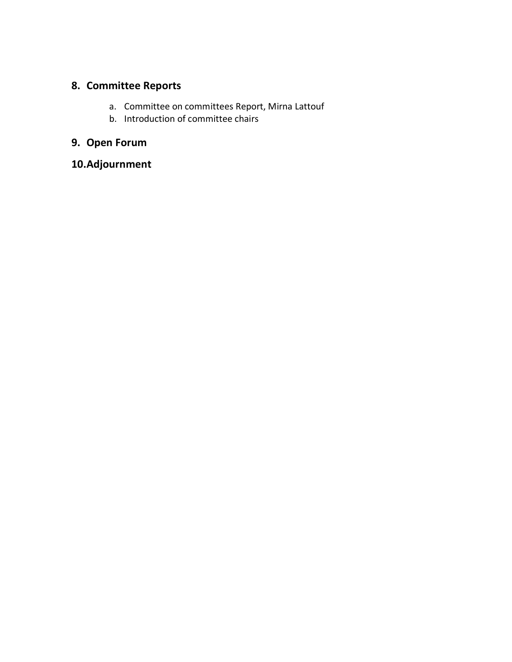# **8. Committee Reports**

- a. Committee on committees Report, Mirna Lattouf
- b. Introduction of committee chairs

# **9. Open Forum**

**10.Adjournment**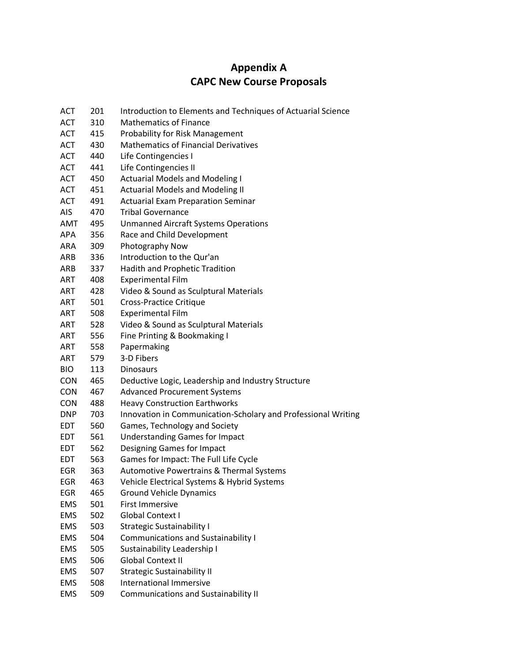# **Appendix A CAPC New Course Proposals**

| <b>ACT</b> | 201 | Introduction to Elements and Techniques of Actuarial Science  |
|------------|-----|---------------------------------------------------------------|
| <b>ACT</b> | 310 | <b>Mathematics of Finance</b>                                 |
| <b>ACT</b> | 415 | Probability for Risk Management                               |
| <b>ACT</b> | 430 | <b>Mathematics of Financial Derivatives</b>                   |
| <b>ACT</b> | 440 | Life Contingencies I                                          |
| <b>ACT</b> | 441 | Life Contingencies II                                         |
| ACT        | 450 | <b>Actuarial Models and Modeling I</b>                        |
| <b>ACT</b> | 451 | <b>Actuarial Models and Modeling II</b>                       |
| <b>ACT</b> | 491 | <b>Actuarial Exam Preparation Seminar</b>                     |
| AIS        | 470 | <b>Tribal Governance</b>                                      |
| <b>AMT</b> | 495 | <b>Unmanned Aircraft Systems Operations</b>                   |
| APA        | 356 | Race and Child Development                                    |
| ARA        | 309 | Photography Now                                               |
| ARB        | 336 | Introduction to the Qur'an                                    |
| ARB        | 337 | Hadith and Prophetic Tradition                                |
| ART        | 408 | <b>Experimental Film</b>                                      |
| <b>ART</b> | 428 | Video & Sound as Sculptural Materials                         |
| ART        | 501 | <b>Cross-Practice Critique</b>                                |
| ART        | 508 | <b>Experimental Film</b>                                      |
| ART        | 528 | Video & Sound as Sculptural Materials                         |
| <b>ART</b> | 556 | Fine Printing & Bookmaking I                                  |
| ART        | 558 | Papermaking                                                   |
| ART        | 579 | 3-D Fibers                                                    |
| <b>BIO</b> | 113 | <b>Dinosaurs</b>                                              |
| <b>CON</b> | 465 | Deductive Logic, Leadership and Industry Structure            |
| <b>CON</b> | 467 | <b>Advanced Procurement Systems</b>                           |
| <b>CON</b> | 488 | <b>Heavy Construction Earthworks</b>                          |
| <b>DNP</b> | 703 | Innovation in Communication-Scholary and Professional Writing |
| <b>EDT</b> | 560 | Games, Technology and Society                                 |
| <b>EDT</b> | 561 | <b>Understanding Games for Impact</b>                         |
| <b>EDT</b> | 562 | Designing Games for Impact                                    |
| <b>EDT</b> | 563 | Games for Impact: The Full Life Cycle                         |
| <b>EGR</b> | 363 | <b>Automotive Powertrains &amp; Thermal Systems</b>           |
| EGR        | 463 | Vehicle Electrical Systems & Hybrid Systems                   |
| EGR        | 465 | <b>Ground Vehicle Dynamics</b>                                |
| <b>EMS</b> | 501 | <b>First Immersive</b>                                        |
| <b>EMS</b> | 502 | <b>Global Context I</b>                                       |
| <b>EMS</b> | 503 | <b>Strategic Sustainability I</b>                             |
| <b>EMS</b> | 504 | <b>Communications and Sustainability I</b>                    |
| <b>EMS</b> | 505 | Sustainability Leadership I                                   |
| <b>EMS</b> | 506 | <b>Global Context II</b>                                      |
| <b>EMS</b> | 507 | <b>Strategic Sustainability II</b>                            |
| <b>EMS</b> | 508 | <b>International Immersive</b>                                |
| <b>EMS</b> | 509 | <b>Communications and Sustainability II</b>                   |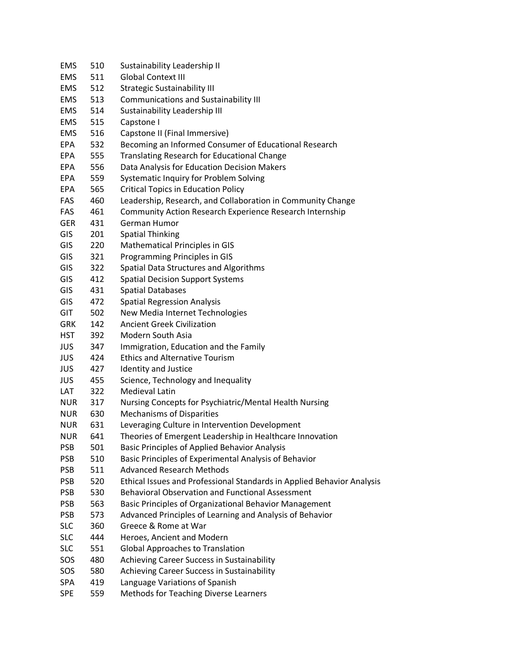| 510 | Sustainability Leadership II                                           |
|-----|------------------------------------------------------------------------|
| 511 | <b>Global Context III</b>                                              |
| 512 | <b>Strategic Sustainability III</b>                                    |
| 513 | Communications and Sustainability III                                  |
| 514 | Sustainability Leadership III                                          |
| 515 | Capstone I                                                             |
| 516 | Capstone II (Final Immersive)                                          |
| 532 | Becoming an Informed Consumer of Educational Research                  |
| 555 | <b>Translating Research for Educational Change</b>                     |
| 556 | Data Analysis for Education Decision Makers                            |
| 559 | Systematic Inquiry for Problem Solving                                 |
| 565 | <b>Critical Topics in Education Policy</b>                             |
| 460 | Leadership, Research, and Collaboration in Community Change            |
| 461 | Community Action Research Experience Research Internship               |
| 431 | German Humor                                                           |
| 201 | <b>Spatial Thinking</b>                                                |
| 220 | Mathematical Principles in GIS                                         |
| 321 | <b>Programming Principles in GIS</b>                                   |
| 322 | Spatial Data Structures and Algorithms                                 |
| 412 | <b>Spatial Decision Support Systems</b>                                |
| 431 | <b>Spatial Databases</b>                                               |
| 472 | <b>Spatial Regression Analysis</b>                                     |
| 502 | New Media Internet Technologies                                        |
| 142 | <b>Ancient Greek Civilization</b>                                      |
| 392 | Modern South Asia                                                      |
| 347 | Immigration, Education and the Family                                  |
| 424 | <b>Ethics and Alternative Tourism</b>                                  |
| 427 | Identity and Justice                                                   |
| 455 | Science, Technology and Inequality                                     |
| 322 | <b>Medieval Latin</b>                                                  |
| 317 | Nursing Concepts for Psychiatric/Mental Health Nursing                 |
| 630 | <b>Mechanisms of Disparities</b>                                       |
| 631 | Leveraging Culture in Intervention Development                         |
| 641 | Theories of Emergent Leadership in Healthcare Innovation               |
| 501 | <b>Basic Principles of Applied Behavior Analysis</b>                   |
| 510 | Basic Principles of Experimental Analysis of Behavior                  |
| 511 | <b>Advanced Research Methods</b>                                       |
| 520 | Ethical Issues and Professional Standards in Applied Behavior Analysis |
| 530 | <b>Behavioral Observation and Functional Assessment</b>                |
| 563 | Basic Principles of Organizational Behavior Management                 |
| 573 | Advanced Principles of Learning and Analysis of Behavior               |
| 360 | Greece & Rome at War                                                   |
| 444 | Heroes, Ancient and Modern                                             |
| 551 | <b>Global Approaches to Translation</b>                                |
| 480 | Achieving Career Success in Sustainability                             |
| 580 | Achieving Career Success in Sustainability                             |
| 419 | Language Variations of Spanish                                         |
| 559 | <b>Methods for Teaching Diverse Learners</b>                           |
|     |                                                                        |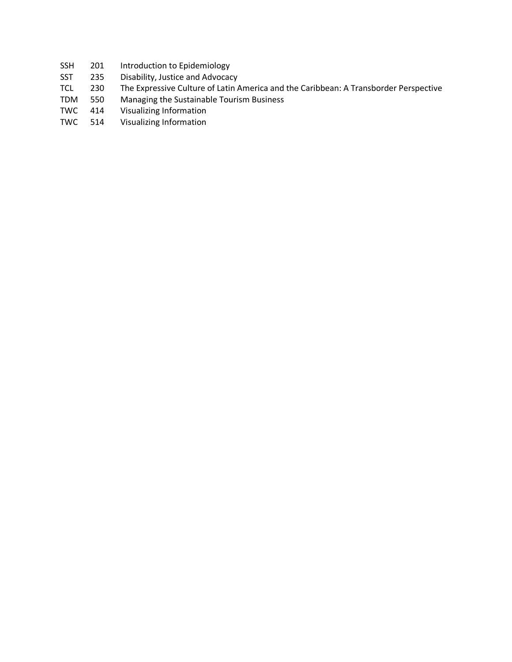- SSH 201 Introduction to Epidemiology
- SST 235 Disability, Justice and Advocacy
- TCL 230 The Expressive Culture of Latin America and the Caribbean: A Transborder Perspective
- TDM 550 Managing the Sustainable Tourism Business
- TWC 414 Visualizing Information
- TWC 514 Visualizing Information